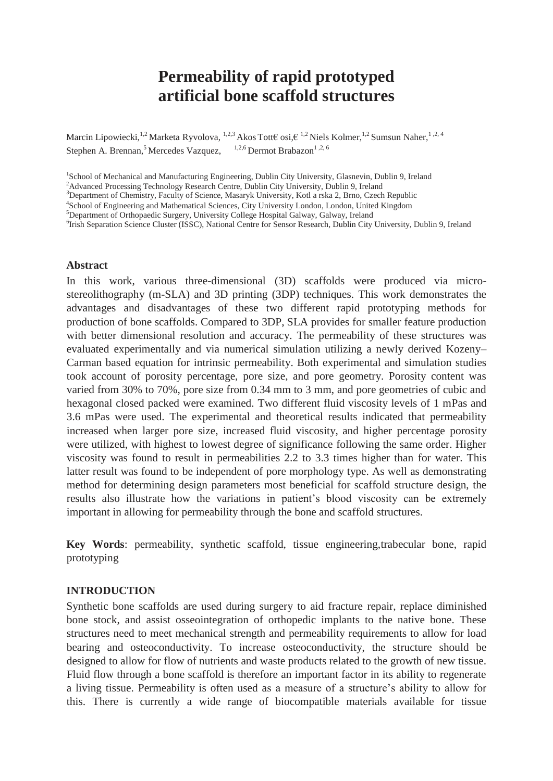# **Permeability of rapid prototyped artificial bone scaffold structures**

Marcin Lipowiecki,<sup>1,2</sup> Marketa Ryvolova, <sup>1,2,3</sup> Akos Tott€ osi, €<sup>1,2</sup> Niels Kolmer,<sup>1,2</sup> Sumsun Naher,<sup>1,2, 4</sup> Stephen A. Brennan,<sup>5</sup> Mercedes Vazquez,  $1,2,6$  Dermot Brabazon<sup>1,2, 6</sup>

<sup>1</sup>School of Mechanical and Manufacturing Engineering, Dublin City University, Glasnevin, Dublin 9, Ireland

<sup>2</sup>Advanced Processing Technology Research Centre, Dublin City University, Dublin 9, Ireland

<sup>3</sup>Department of Chemistry, Faculty of Science, Masaryk University, Kotl a rska 2, Brno, Czech Republic

4 School of Engineering and Mathematical Sciences, City University London, London, United Kingdom

<sup>5</sup>Department of Orthopaedic Surgery, University College Hospital Galway, Galway, Ireland

6 Irish Separation Science Cluster (ISSC), National Centre for Sensor Research, Dublin City University, Dublin 9, Ireland

#### **Abstract**

In this work, various three-dimensional (3D) scaffolds were produced via microstereolithography (m-SLA) and 3D printing (3DP) techniques. This work demonstrates the advantages and disadvantages of these two different rapid prototyping methods for production of bone scaffolds. Compared to 3DP, SLA provides for smaller feature production with better dimensional resolution and accuracy. The permeability of these structures was evaluated experimentally and via numerical simulation utilizing a newly derived Kozeny– Carman based equation for intrinsic permeability. Both experimental and simulation studies took account of porosity percentage, pore size, and pore geometry. Porosity content was varied from 30% to 70%, pore size from 0.34 mm to 3 mm, and pore geometries of cubic and hexagonal closed packed were examined. Two different fluid viscosity levels of 1 mPas and 3.6 mPas were used. The experimental and theoretical results indicated that permeability increased when larger pore size, increased fluid viscosity, and higher percentage porosity were utilized, with highest to lowest degree of significance following the same order. Higher viscosity was found to result in permeabilities 2.2 to 3.3 times higher than for water. This latter result was found to be independent of pore morphology type. As well as demonstrating method for determining design parameters most beneficial for scaffold structure design, the results also illustrate how the variations in patient's blood viscosity can be extremely important in allowing for permeability through the bone and scaffold structures.

**Key Words**: permeability, synthetic scaffold, tissue engineering,trabecular bone, rapid prototyping

# **INTRODUCTION**

Synthetic bone scaffolds are used during surgery to aid fracture repair, replace diminished bone stock, and assist osseointegration of orthopedic implants to the native bone. These structures need to meet mechanical strength and permeability requirements to allow for load bearing and osteoconductivity. To increase osteoconductivity, the structure should be designed to allow for flow of nutrients and waste products related to the growth of new tissue. Fluid flow through a bone scaffold is therefore an important factor in its ability to regenerate a living tissue. Permeability is often used as a measure of a structure's ability to allow for this. There is currently a wide range of biocompatible materials available for tissue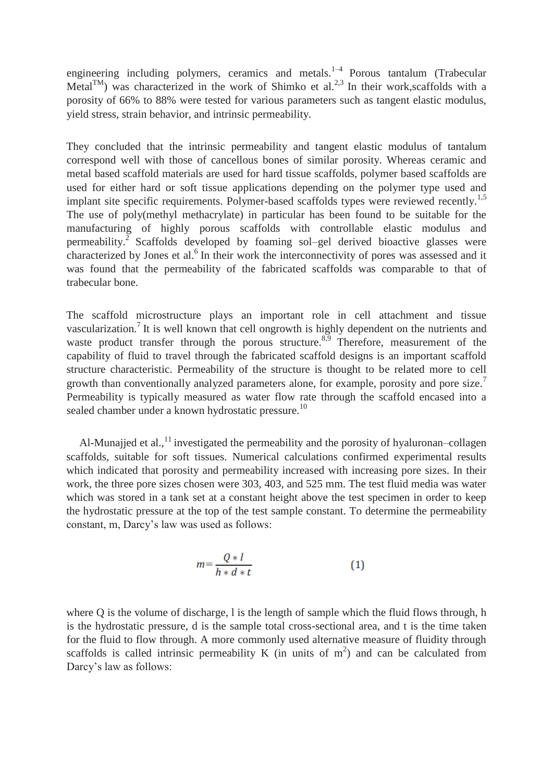engineering including polymers, ceramics and metals.<sup>1-4</sup> Porous tantalum (Trabecular Metal $T^{M}$ ) was characterized in the work of Shimko et al.<sup>2,3</sup> In their work, scaffolds with a porosity of 66% to 88% were tested for various parameters such as tangent elastic modulus, yield stress, strain behavior, and intrinsic permeability.

They concluded that the intrinsic permeability and tangent elastic modulus of tantalum correspond well with those of cancellous bones of similar porosity. Whereas ceramic and metal based scaffold materials are used for hard tissue scaffolds, polymer based scaffolds are used for either hard or soft tissue applications depending on the polymer type used and implant site specific requirements. Polymer-based scaffolds types were reviewed recently.<sup>1,5</sup> The use of poly(methyl methacrylate) in particular has been found to be suitable for the manufacturing of highly porous scaffolds with controllable elastic modulus and permeability.<sup>2</sup> Scaffolds developed by foaming sol–gel derived bioactive glasses were characterized by Jones et al.<sup>6</sup> In their work the interconnectivity of pores was assessed and it was found that the permeability of the fabricated scaffolds was comparable to that of trabecular bone.

The scaffold microstructure plays an important role in cell attachment and tissue vascularization.<sup>7</sup> It is well known that cell ongrowth is highly dependent on the nutrients and waste product transfer through the porous structure.<sup>8,9</sup> Therefore, measurement of the capability of fluid to travel through the fabricated scaffold designs is an important scaffold structure characteristic. Permeability of the structure is thought to be related more to cell growth than conventionally analyzed parameters alone, for example, porosity and pore size.<sup>7</sup> Permeability is typically measured as water flow rate through the scaffold encased into a sealed chamber under a known hydrostatic pressure.<sup>10</sup>

Al-Munajjed et al.,  $^{11}$  investigated the permeability and the porosity of hyaluronan–collagen scaffolds, suitable for soft tissues. Numerical calculations confirmed experimental results which indicated that porosity and permeability increased with increasing pore sizes. In their work, the three pore sizes chosen were 303, 403, and 525 mm. The test fluid media was water which was stored in a tank set at a constant height above the test specimen in order to keep the hydrostatic pressure at the top of the test sample constant. To determine the permeability constant, m, Darcy's law was used as follows:

$$
m = \frac{Q \ast l}{h \ast d \ast t} \tag{1}
$$

where Q is the volume of discharge, l is the length of sample which the fluid flows through, h is the hydrostatic pressure, d is the sample total cross-sectional area, and t is the time taken for the fluid to flow through. A more commonly used alternative measure of fluidity through scaffolds is called intrinsic permeability K (in units of  $m<sup>2</sup>$ ) and can be calculated from Darcy's law as follows: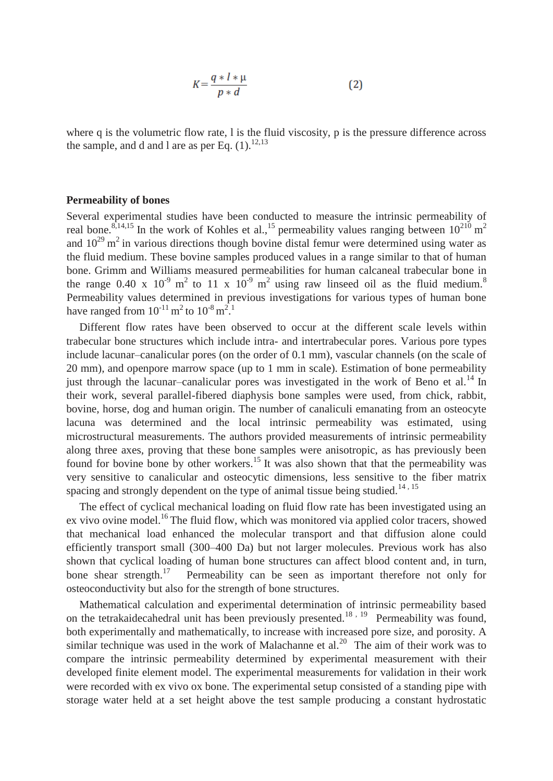$$
K = \frac{q \ast l \ast \mu}{p \ast d} \tag{2}
$$

where q is the volumetric flow rate, l is the fluid viscosity, p is the pressure difference across the sample, and d and l are as per Eq.  $(1)$ .<sup>12,13</sup>

#### **Permeability of bones**

Several experimental studies have been conducted to measure the intrinsic permeability of real bone.<sup>8,14,15</sup> In the work of Kohles et al.,<sup>15</sup> permeability values ranging between  $10^{210}$  m<sup>2</sup> and  $10^{29}$  m<sup>2</sup> in various directions though bovine distal femur were determined using water as the fluid medium. These bovine samples produced values in a range similar to that of human bone. Grimm and Williams measured permeabilities for human calcaneal trabecular bone in the range 0.40 x  $10^{-9}$  m<sup>2</sup> to 11 x  $10^{-9}$  m<sup>2</sup> using raw linseed oil as the fluid medium.<sup>8</sup> Permeability values determined in previous investigations for various types of human bone have ranged from  $10^{-11}$  m<sup>2</sup> to  $10^{-8}$  m<sup>2</sup>.

Different flow rates have been observed to occur at the different scale levels within trabecular bone structures which include intra- and intertrabecular pores. Various pore types include lacunar–canalicular pores (on the order of 0.1 mm), vascular channels (on the scale of 20 mm), and openpore marrow space (up to 1 mm in scale). Estimation of bone permeability just through the lacunar–canalicular pores was investigated in the work of Beno et al.<sup>14</sup> In their work, several parallel-fibered diaphysis bone samples were used, from chick, rabbit, bovine, horse, dog and human origin. The number of canaliculi emanating from an osteocyte lacuna was determined and the local intrinsic permeability was estimated, using microstructural measurements. The authors provided measurements of intrinsic permeability along three axes, proving that these bone samples were anisotropic, as has previously been found for bovine bone by other workers.<sup>15</sup> It was also shown that that the permeability was very sensitive to canalicular and osteocytic dimensions, less sensitive to the fiber matrix spacing and strongly dependent on the type of animal tissue being studied.<sup>14, 15</sup>

The effect of cyclical mechanical loading on fluid flow rate has been investigated using an ex vivo ovine model.<sup>16</sup>The fluid flow, which was monitored via applied color tracers, showed that mechanical load enhanced the molecular transport and that diffusion alone could efficiently transport small (300–400 Da) but not larger molecules. Previous work has also shown that cyclical loading of human bone structures can affect blood content and, in turn, bone shear strength.<sup>17</sup> Permeability can be seen as important therefore not only for osteoconductivity but also for the strength of bone structures.

Mathematical calculation and experimental determination of intrinsic permeability based on the tetrakaidecahedral unit has been previously presented.<sup>18, 19</sup> Permeability was found, both experimentally and mathematically, to increase with increased pore size, and porosity. A similar technique was used in the work of Malachanne et al.<sup>20</sup> The aim of their work was to compare the intrinsic permeability determined by experimental measurement with their developed finite element model. The experimental measurements for validation in their work were recorded with ex vivo ox bone. The experimental setup consisted of a standing pipe with storage water held at a set height above the test sample producing a constant hydrostatic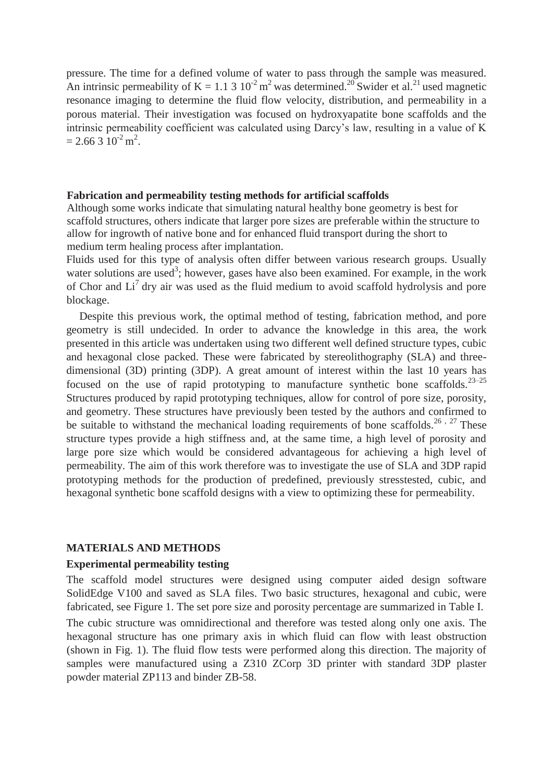pressure. The time for a defined volume of water to pass through the sample was measured. An intrinsic permeability of K = 1.1 3  $10^{-2}$  m<sup>2</sup> was determined.<sup>20</sup> Swider et al.<sup>21</sup> used magnetic resonance imaging to determine the fluid flow velocity, distribution, and permeability in a porous material. Their investigation was focused on hydroxyapatite bone scaffolds and the intrinsic permeability coefficient was calculated using Darcy's law, resulting in a value of K  $= 2.66310^{2}$  m<sup>2</sup>.

# **Fabrication and permeability testing methods for artificial scaffolds**

Although some works indicate that simulating natural healthy bone geometry is best for scaffold structures, others indicate that larger pore sizes are preferable within the structure to allow for ingrowth of native bone and for enhanced fluid transport during the short to medium term healing process after implantation.

Fluids used for this type of analysis often differ between various research groups. Usually water solutions are used<sup>3</sup>; however, gases have also been examined. For example, in the work of Chor and  $Li<sup>7</sup>$  dry air was used as the fluid medium to avoid scaffold hydrolysis and pore blockage.

Despite this previous work, the optimal method of testing, fabrication method, and pore geometry is still undecided. In order to advance the knowledge in this area, the work presented in this article was undertaken using two different well defined structure types, cubic and hexagonal close packed. These were fabricated by stereolithography (SLA) and threedimensional (3D) printing (3DP). A great amount of interest within the last 10 years has focused on the use of rapid prototyping to manufacture synthetic bone scaffolds.<sup>23–25</sup> Structures produced by rapid prototyping techniques, allow for control of pore size, porosity, and geometry. These structures have previously been tested by the authors and confirmed to be suitable to withstand the mechanical loading requirements of bone scaffolds.<sup>26,27</sup> These structure types provide a high stiffness and, at the same time, a high level of porosity and large pore size which would be considered advantageous for achieving a high level of permeability. The aim of this work therefore was to investigate the use of SLA and 3DP rapid prototyping methods for the production of predefined, previously stresstested, cubic, and hexagonal synthetic bone scaffold designs with a view to optimizing these for permeability.

#### **MATERIALS AND METHODS**

# **Experimental permeability testing**

The scaffold model structures were designed using computer aided design software SolidEdge V100 and saved as SLA files. Two basic structures, hexagonal and cubic, were fabricated, see Figure 1. The set pore size and porosity percentage are summarized in Table I. The cubic structure was omnidirectional and therefore was tested along only one axis. The hexagonal structure has one primary axis in which fluid can flow with least obstruction (shown in Fig. 1). The fluid flow tests were performed along this direction. The majority of samples were manufactured using a Z310 ZCorp 3D printer with standard 3DP plaster powder material ZP113 and binder ZB-58.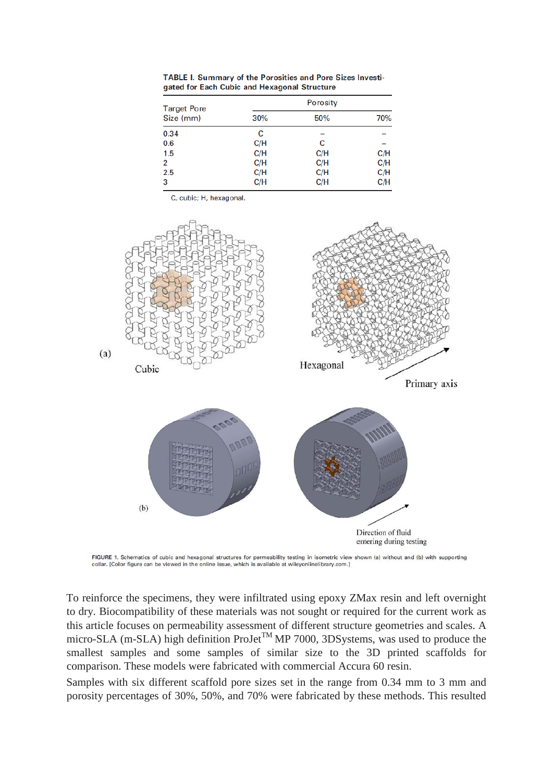| <b>Target Pore</b><br>Size (mm) | <b>Porosity</b> |     |     |
|---------------------------------|-----------------|-----|-----|
|                                 | 30%             | 50% | 70% |
| 0.34                            | С               |     |     |
| 0.6                             | C/H             | C   |     |
| 1.5                             | C/H             | C/H | C/H |
| 2                               | C/H             | C/H | C/H |
| 2.5                             | C/H             | C/H | C/H |
| 3                               | C/H             | C/H | C/H |

TABLE I. Summary of the Porosities and Pore Sizes Investigated for Each Cubic and Hexagonal Structure

C, cubic; H, hexagonal.



FIGURE 1. Schematics of cubic and hexagonal structures for permeability testing in isometric view shown (a) without and (b) with supporting collar. [Color figure can be viewed in the online issue, which is available at wileyonlinelibrary.com.]

To reinforce the specimens, they were infiltrated using epoxy ZMax resin and left overnight to dry. Biocompatibility of these materials was not sought or required for the current work as this article focuses on permeability assessment of different structure geometries and scales. A micro-SLA (m-SLA) high definition ProJet<sup>TM</sup> MP 7000, 3DSystems, was used to produce the smallest samples and some samples of similar size to the 3D printed scaffolds for comparison. These models were fabricated with commercial Accura 60 resin.

Samples with six different scaffold pore sizes set in the range from 0.34 mm to 3 mm and porosity percentages of 30%, 50%, and 70% were fabricated by these methods. This resulted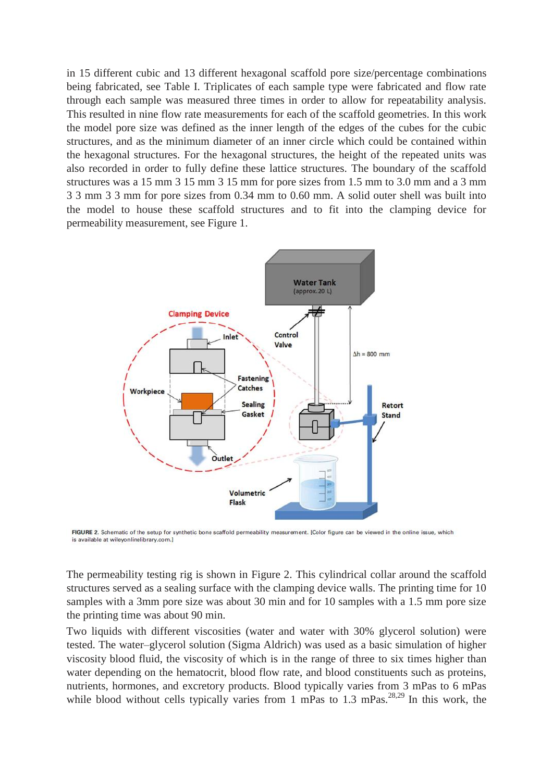in 15 different cubic and 13 different hexagonal scaffold pore size/percentage combinations being fabricated, see Table I. Triplicates of each sample type were fabricated and flow rate through each sample was measured three times in order to allow for repeatability analysis. This resulted in nine flow rate measurements for each of the scaffold geometries. In this work the model pore size was defined as the inner length of the edges of the cubes for the cubic structures, and as the minimum diameter of an inner circle which could be contained within the hexagonal structures. For the hexagonal structures, the height of the repeated units was also recorded in order to fully define these lattice structures. The boundary of the scaffold structures was a 15 mm 3 15 mm 3 15 mm for pore sizes from 1.5 mm to 3.0 mm and a 3 mm 3 3 mm 3 3 mm for pore sizes from 0.34 mm to 0.60 mm. A solid outer shell was built into the model to house these scaffold structures and to fit into the clamping device for permeability measurement, see Figure 1.



FIGURE 2. Schematic of the setup for synthetic bone scaffold permeability measurement. [Color figure can be viewed in the online issue, which is available at wileyonlinelibrary.com.]

The permeability testing rig is shown in Figure 2. This cylindrical collar around the scaffold structures served as a sealing surface with the clamping device walls. The printing time for 10 samples with a 3mm pore size was about 30 min and for 10 samples with a 1.5 mm pore size the printing time was about 90 min.

Two liquids with different viscosities (water and water with 30% glycerol solution) were tested. The water–glycerol solution (Sigma Aldrich) was used as a basic simulation of higher viscosity blood fluid, the viscosity of which is in the range of three to six times higher than water depending on the hematocrit, blood flow rate, and blood constituents such as proteins, nutrients, hormones, and excretory products. Blood typically varies from 3 mPas to 6 mPas while blood without cells typically varies from 1 mPas to 1.3 mPas.<sup>28,29</sup> In this work, the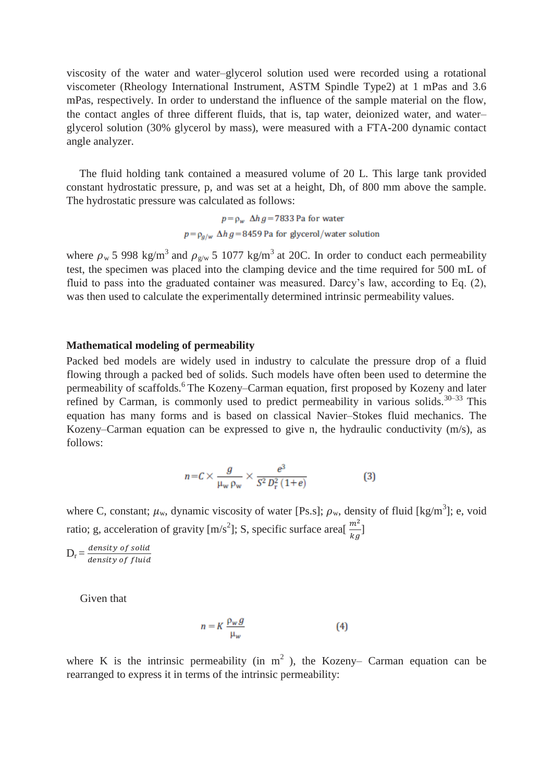viscosity of the water and water–glycerol solution used were recorded using a rotational viscometer (Rheology International Instrument, ASTM Spindle Type2) at 1 mPas and 3.6 mPas, respectively. In order to understand the influence of the sample material on the flow, the contact angles of three different fluids, that is, tap water, deionized water, and water– glycerol solution (30% glycerol by mass), were measured with a FTA-200 dynamic contact angle analyzer.

The fluid holding tank contained a measured volume of 20 L. This large tank provided constant hydrostatic pressure, p, and was set at a height, Dh, of 800 mm above the sample. The hydrostatic pressure was calculated as follows:

> $p = \rho_w \Delta h g = 7833$  Pa for water  $p = \rho_{q/w} \Delta h g = 8459$  Pa for glycerol/water solution

where  $\rho_w$  5 998 kg/m<sup>3</sup> and  $\rho_{g/w}$  5 1077 kg/m<sup>3</sup> at 20C. In order to conduct each permeability test, the specimen was placed into the clamping device and the time required for 500 mL of fluid to pass into the graduated container was measured. Darcy's law, according to Eq. (2), was then used to calculate the experimentally determined intrinsic permeability values.

#### **Mathematical modeling of permeability**

Packed bed models are widely used in industry to calculate the pressure drop of a fluid flowing through a packed bed of solids. Such models have often been used to determine the permeability of scaffolds.<sup>6</sup>The Kozeny–Carman equation, first proposed by Kozeny and later refined by Carman, is commonly used to predict permeability in various solids.  $30-33$  This equation has many forms and is based on classical Navier–Stokes fluid mechanics. The Kozeny–Carman equation can be expressed to give n, the hydraulic conductivity (m/s), as follows:

$$
n = C \times \frac{g}{\mu_w \rho_w} \times \frac{e^3}{S^2 D_r^2 (1+e)}\tag{3}
$$

where C, constant;  $\mu_w$ , dynamic viscosity of water [Ps.s];  $\rho_w$ , density of fluid [kg/m<sup>3</sup>]; e, void ratio; g, acceleration of gravity [m/s<sup>2</sup>]; S, specific surface area[ $\frac{m^2}{kg}$ ]

 $D_r = \frac{d}{d}$  $\boldsymbol{d}$ 

Given that

$$
n = K \frac{\rho_w g}{\mu_w} \tag{4}
$$

where K is the intrinsic permeability (in  $m<sup>2</sup>$ ), the Kozeny– Carman equation can be rearranged to express it in terms of the intrinsic permeability: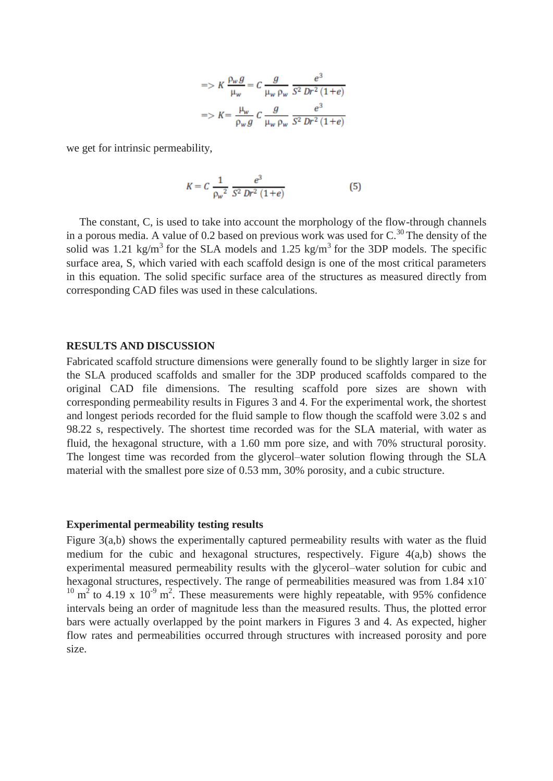$$
= > K \frac{\rho_w g}{\mu_w} = C \frac{g}{\mu_w \rho_w} \frac{e^3}{S^2 Dr^2 (1+e)}
$$

$$
= > K = \frac{\mu_w}{\rho_w g} C \frac{g}{\mu_w \rho_w} \frac{e^3}{S^2 Dr^2 (1+e)}
$$

we get for intrinsic permeability,

$$
K = C \frac{1}{\rho_w^2} \frac{e^3}{S^2 Dr^2 (1+e)}
$$
 (5)

The constant, C, is used to take into account the morphology of the flow-through channels in a porous media. A value of 0.2 based on previous work was used for  $C^{30}$ . The density of the solid was 1.21 kg/m<sup>3</sup> for the SLA models and 1.25 kg/m<sup>3</sup> for the 3DP models. The specific surface area, S, which varied with each scaffold design is one of the most critical parameters in this equation. The solid specific surface area of the structures as measured directly from corresponding CAD files was used in these calculations.

#### **RESULTS AND DISCUSSION**

Fabricated scaffold structure dimensions were generally found to be slightly larger in size for the SLA produced scaffolds and smaller for the 3DP produced scaffolds compared to the original CAD file dimensions. The resulting scaffold pore sizes are shown with corresponding permeability results in Figures 3 and 4. For the experimental work, the shortest and longest periods recorded for the fluid sample to flow though the scaffold were 3.02 s and 98.22 s, respectively. The shortest time recorded was for the SLA material, with water as fluid, the hexagonal structure, with a 1.60 mm pore size, and with 70% structural porosity. The longest time was recorded from the glycerol–water solution flowing through the SLA material with the smallest pore size of 0.53 mm, 30% porosity, and a cubic structure.

# **Experimental permeability testing results**

Figure 3(a,b) shows the experimentally captured permeability results with water as the fluid medium for the cubic and hexagonal structures, respectively. Figure 4(a,b) shows the experimental measured permeability results with the glycerol–water solution for cubic and hexagonal structures, respectively. The range of permeabilities measured was from 1.84 x10<sup>-</sup>  $10 \text{ m}^2$  to 4.19 x  $10^{-9} \text{ m}^2$ . These measurements were highly repeatable, with 95% confidence intervals being an order of magnitude less than the measured results. Thus, the plotted error bars were actually overlapped by the point markers in Figures 3 and 4. As expected, higher flow rates and permeabilities occurred through structures with increased porosity and pore size.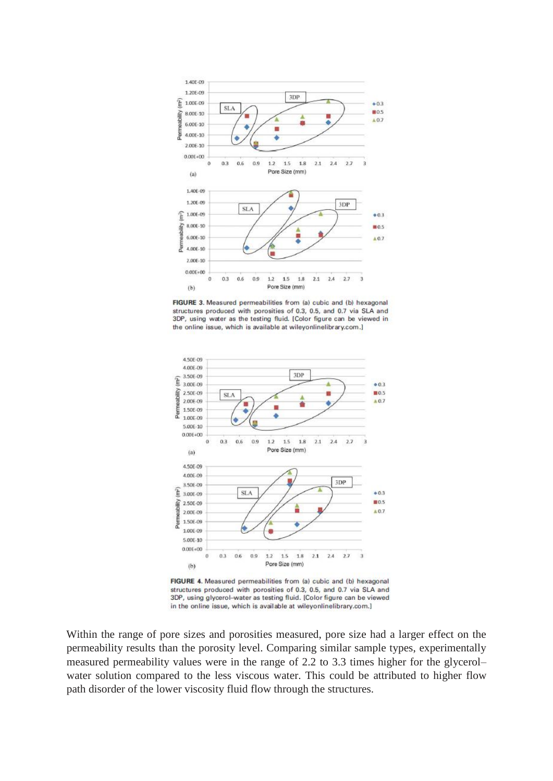

FIGURE 3. Measured permeabilities from (a) cubic and (b) hexagonal structures produced with porosities of 0.3, 0.5, and 0.7 via SLA and 3DP, using water as the testing fluid. [Color figure can be viewed in the online issue, which is available at wileyonlinelibrary.com.]



FIGURE 4. Measured permeabilities from (a) cubic and (b) hexagonal structures produced with porosities of 0.3, 0.5, and 0.7 via SLA and 3DP, using glycerol-water as testing fluid. [Color figure can be viewed in the online issue, which is available at wileyonlinelibrary.com.]

Within the range of pore sizes and porosities measured, pore size had a larger effect on the permeability results than the porosity level. Comparing similar sample types, experimentally measured permeability values were in the range of 2.2 to 3.3 times higher for the glycerol– water solution compared to the less viscous water. This could be attributed to higher flow path disorder of the lower viscosity fluid flow through the structures.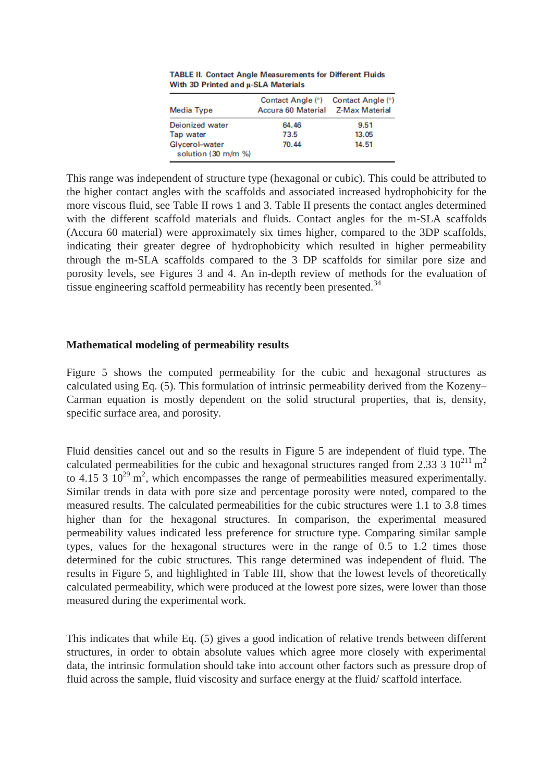| Media Type                            | Contact Angle (°)<br>Accura 60 Material Z-Max Material | Contact Angle (°) |
|---------------------------------------|--------------------------------------------------------|-------------------|
| Deionized water                       | 64.46                                                  | 9.51              |
| Tap water                             | 73.5                                                   | 13.05             |
| Glycerol-water<br>solution (30 m/m %) | 70.44                                                  | 14.51             |

TABLE II. Contact Angle Measurements for Different Fluids With 3D Printed and µ-SLA Materials

This range was independent of structure type (hexagonal or cubic). This could be attributed to the higher contact angles with the scaffolds and associated increased hydrophobicity for the more viscous fluid, see Table II rows 1 and 3. Table II presents the contact angles determined with the different scaffold materials and fluids. Contact angles for the m-SLA scaffolds (Accura 60 material) were approximately six times higher, compared to the 3DP scaffolds, indicating their greater degree of hydrophobicity which resulted in higher permeability through the m-SLA scaffolds compared to the 3 DP scaffolds for similar pore size and porosity levels, see Figures 3 and 4. An in-depth review of methods for the evaluation of tissue engineering scaffold permeability has recently been presented.<sup>34</sup>

# **Mathematical modeling of permeability results**

Figure 5 shows the computed permeability for the cubic and hexagonal structures as calculated using Eq. (5). This formulation of intrinsic permeability derived from the Kozeny– Carman equation is mostly dependent on the solid structural properties, that is, density, specific surface area, and porosity.

Fluid densities cancel out and so the results in Figure 5 are independent of fluid type. The calculated permeabilities for the cubic and hexagonal structures ranged from 2.33 3  $10^{211}$  m<sup>2</sup> to 4.15 3  $10^{29}$  m<sup>2</sup>, which encompasses the range of permeabilities measured experimentally. Similar trends in data with pore size and percentage porosity were noted, compared to the measured results. The calculated permeabilities for the cubic structures were 1.1 to 3.8 times higher than for the hexagonal structures. In comparison, the experimental measured permeability values indicated less preference for structure type. Comparing similar sample types, values for the hexagonal structures were in the range of 0.5 to 1.2 times those determined for the cubic structures. This range determined was independent of fluid. The results in Figure 5, and highlighted in Table III, show that the lowest levels of theoretically calculated permeability, which were produced at the lowest pore sizes, were lower than those measured during the experimental work.

This indicates that while Eq. (5) gives a good indication of relative trends between different structures, in order to obtain absolute values which agree more closely with experimental data, the intrinsic formulation should take into account other factors such as pressure drop of fluid across the sample, fluid viscosity and surface energy at the fluid/ scaffold interface.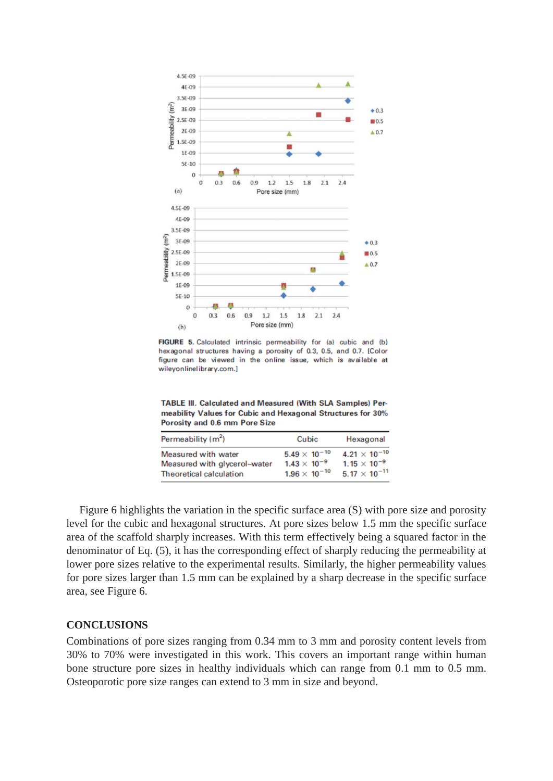

FIGURE 5. Calculated intrinsic permeability for (a) cubic and (b) hexagonal structures having a porosity of 0.3, 0.5, and 0.7. [Color figure can be viewed in the online issue, which is available at wileyonlinelibrary.com.]

TABLE III. Calculated and Measured (With SLA Samples) Permeability Values for Cubic and Hexagonal Structures for 30% Porosity and 0.6 mm Pore Size

| Permeability (m <sup>2</sup> ) | Cubic                  | Hexagonal              |
|--------------------------------|------------------------|------------------------|
| Measured with water            | $5.49 \times 10^{-10}$ | $4.21 \times 10^{-10}$ |
| Measured with glycerol-water   | $1.43 \times 10^{-9}$  | $1.15 \times 10^{-9}$  |
| Theoretical calculation        | $1.96 \times 10^{-10}$ | $5.17 \times 10^{-11}$ |

Figure 6 highlights the variation in the specific surface area (S) with pore size and porosity level for the cubic and hexagonal structures. At pore sizes below 1.5 mm the specific surface area of the scaffold sharply increases. With this term effectively being a squared factor in the denominator of Eq. (5), it has the corresponding effect of sharply reducing the permeability at lower pore sizes relative to the experimental results. Similarly, the higher permeability values for pore sizes larger than 1.5 mm can be explained by a sharp decrease in the specific surface area, see Figure 6.

### **CONCLUSIONS**

Combinations of pore sizes ranging from 0.34 mm to 3 mm and porosity content levels from 30% to 70% were investigated in this work. This covers an important range within human bone structure pore sizes in healthy individuals which can range from 0.1 mm to 0.5 mm. Osteoporotic pore size ranges can extend to 3 mm in size and beyond.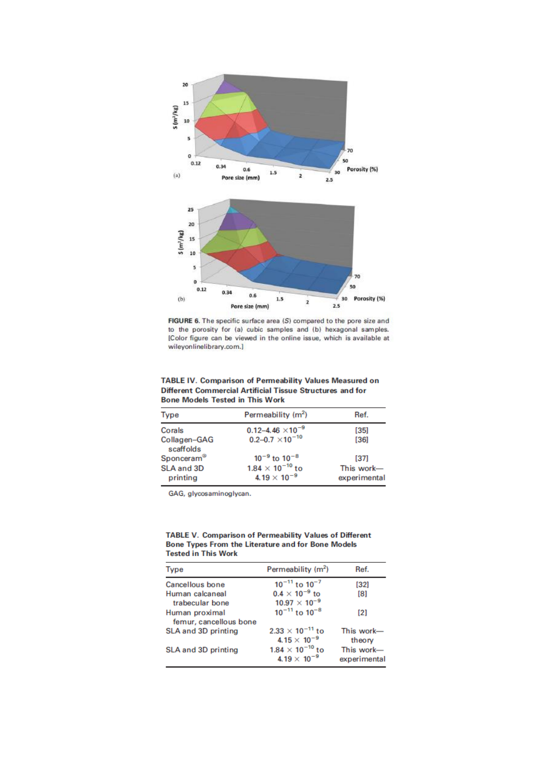

FIGURE 6. The specific surface area (S) compared to the pore size and to the porosity for (a) cubic samples and (b) hexagonal samples. [Color figure can be viewed in the online issue, which is available at wileyonlinelibrary.com.]

| <b>TABLE IV. Comparison of Permeability Values Measured on</b> |
|----------------------------------------------------------------|
| Different Commercial Artificial Tissue Structures and for      |
| <b>Bone Models Tested in This Work</b>                         |

| <b>Type</b>               | Permeability (m <sup>2</sup> )                   | Ref.                       |
|---------------------------|--------------------------------------------------|----------------------------|
| Corals                    | $0.12 - 4.46 \times 10^{-9}$                     | [35]                       |
| Collagen-GAG<br>scaffolds | $0.2 - 0.7 \times 10^{-10}$                      | [36]                       |
| Sponceram®                | $10^{-9}$ to $10^{-8}$                           | [37]                       |
| SLA and 3D<br>printing    | $1.84\times10^{-10}$ to<br>$4.19 \times 10^{-9}$ | This work-<br>experimental |

GAG, glycosaminoglycan.

**TABLE V. Comparison of Permeability Values of Different** Bone Types From the Literature and for Bone Models **Tested in This Work** 

| <b>Type</b>            | Permeability $(m^2)$           | Ref.         |
|------------------------|--------------------------------|--------------|
| Cancellous bone        | $10^{-11}$ to $10^{-7}$        | $[32]$       |
| Human calcaneal        | $0.4 \times 10^{-9}$ to        | $^{[8]}$     |
| trabecular bone        | $10.97 \times 10^{-9}$         |              |
| Human proximal         | $10^{-11}$ to $10^{-8}$        | [2]          |
| femur, cancellous bone |                                |              |
| SLA and 3D printing    | $2.33 \times 10^{-11}$ to      | This work-   |
|                        | 4.15 $\times$ 10 <sup>-9</sup> | theory       |
| SLA and 3D printing    | $1.84 \times 10^{-10}$ to      | This work-   |
|                        | 4.19 $\times$ 10 <sup>-9</sup> | experimental |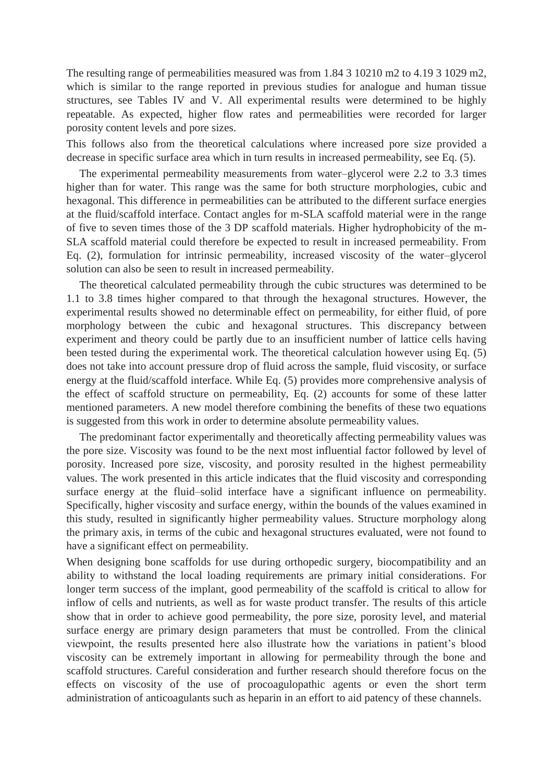The resulting range of permeabilities measured was from 1.84 3 10210 m2 to 4.19 3 1029 m2, which is similar to the range reported in previous studies for analogue and human tissue structures, see Tables IV and V. All experimental results were determined to be highly repeatable. As expected, higher flow rates and permeabilities were recorded for larger porosity content levels and pore sizes.

This follows also from the theoretical calculations where increased pore size provided a decrease in specific surface area which in turn results in increased permeability, see Eq. (5).

The experimental permeability measurements from water–glycerol were 2.2 to 3.3 times higher than for water. This range was the same for both structure morphologies, cubic and hexagonal. This difference in permeabilities can be attributed to the different surface energies at the fluid/scaffold interface. Contact angles for m-SLA scaffold material were in the range of five to seven times those of the 3 DP scaffold materials. Higher hydrophobicity of the m-SLA scaffold material could therefore be expected to result in increased permeability. From Eq. (2), formulation for intrinsic permeability, increased viscosity of the water–glycerol solution can also be seen to result in increased permeability.

The theoretical calculated permeability through the cubic structures was determined to be 1.1 to 3.8 times higher compared to that through the hexagonal structures. However, the experimental results showed no determinable effect on permeability, for either fluid, of pore morphology between the cubic and hexagonal structures. This discrepancy between experiment and theory could be partly due to an insufficient number of lattice cells having been tested during the experimental work. The theoretical calculation however using Eq. (5) does not take into account pressure drop of fluid across the sample, fluid viscosity, or surface energy at the fluid/scaffold interface. While Eq. (5) provides more comprehensive analysis of the effect of scaffold structure on permeability, Eq. (2) accounts for some of these latter mentioned parameters. A new model therefore combining the benefits of these two equations is suggested from this work in order to determine absolute permeability values.

The predominant factor experimentally and theoretically affecting permeability values was the pore size. Viscosity was found to be the next most influential factor followed by level of porosity. Increased pore size, viscosity, and porosity resulted in the highest permeability values. The work presented in this article indicates that the fluid viscosity and corresponding surface energy at the fluid–solid interface have a significant influence on permeability. Specifically, higher viscosity and surface energy, within the bounds of the values examined in this study, resulted in significantly higher permeability values. Structure morphology along the primary axis, in terms of the cubic and hexagonal structures evaluated, were not found to have a significant effect on permeability.

When designing bone scaffolds for use during orthopedic surgery, biocompatibility and an ability to withstand the local loading requirements are primary initial considerations. For longer term success of the implant, good permeability of the scaffold is critical to allow for inflow of cells and nutrients, as well as for waste product transfer. The results of this article show that in order to achieve good permeability, the pore size, porosity level, and material surface energy are primary design parameters that must be controlled. From the clinical viewpoint, the results presented here also illustrate how the variations in patient's blood viscosity can be extremely important in allowing for permeability through the bone and scaffold structures. Careful consideration and further research should therefore focus on the effects on viscosity of the use of procoagulopathic agents or even the short term administration of anticoagulants such as heparin in an effort to aid patency of these channels.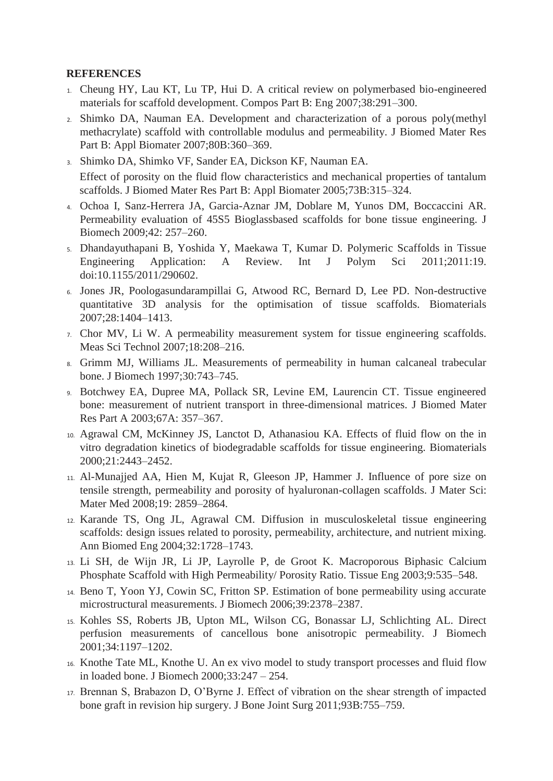# **REFERENCES**

- 1. Cheung HY, Lau KT, Lu TP, Hui D. A critical review on polymerbased bio-engineered materials for scaffold development. Compos Part B: Eng 2007;38:291–300.
- 2. Shimko DA, Nauman EA. Development and characterization of a porous poly(methyl methacrylate) scaffold with controllable modulus and permeability. J Biomed Mater Res Part B: Appl Biomater 2007;80B:360–369.
- 3. Shimko DA, Shimko VF, Sander EA, Dickson KF, Nauman EA. Effect of porosity on the fluid flow characteristics and mechanical properties of tantalum scaffolds. J Biomed Mater Res Part B: Appl Biomater 2005;73B:315–324.
- 4. Ochoa I, Sanz-Herrera JA, Garcia-Aznar JM, Doblare M, Yunos DM, Boccaccini AR. Permeability evaluation of 45S5 Bioglassbased scaffolds for bone tissue engineering. J Biomech 2009;42: 257–260.
- 5. Dhandayuthapani B, Yoshida Y, Maekawa T, Kumar D. Polymeric Scaffolds in Tissue Engineering Application: A Review. Int J Polym Sci 2011;2011:19. doi:10.1155/2011/290602.
- 6. Jones JR, Poologasundarampillai G, Atwood RC, Bernard D, Lee PD. Non-destructive quantitative 3D analysis for the optimisation of tissue scaffolds. Biomaterials 2007;28:1404–1413.
- 7. Chor MV, Li W. A permeability measurement system for tissue engineering scaffolds. Meas Sci Technol 2007;18:208–216.
- 8. Grimm MJ, Williams JL. Measurements of permeability in human calcaneal trabecular bone. J Biomech 1997;30:743–745.
- 9. Botchwey EA, Dupree MA, Pollack SR, Levine EM, Laurencin CT. Tissue engineered bone: measurement of nutrient transport in three-dimensional matrices. J Biomed Mater Res Part A 2003;67A: 357–367.
- 10. Agrawal CM, McKinney JS, Lanctot D, Athanasiou KA. Effects of fluid flow on the in vitro degradation kinetics of biodegradable scaffolds for tissue engineering. Biomaterials 2000;21:2443–2452.
- 11. Al-Munajjed AA, Hien M, Kujat R, Gleeson JP, Hammer J. Influence of pore size on tensile strength, permeability and porosity of hyaluronan-collagen scaffolds. J Mater Sci: Mater Med 2008;19: 2859–2864.
- 12. Karande TS, Ong JL, Agrawal CM. Diffusion in musculoskeletal tissue engineering scaffolds: design issues related to porosity, permeability, architecture, and nutrient mixing. Ann Biomed Eng 2004;32:1728–1743.
- 13. Li SH, de Wijn JR, Li JP, Layrolle P, de Groot K. Macroporous Biphasic Calcium Phosphate Scaffold with High Permeability/ Porosity Ratio. Tissue Eng 2003;9:535–548.
- 14. Beno T, Yoon YJ, Cowin SC, Fritton SP. Estimation of bone permeability using accurate microstructural measurements. J Biomech 2006;39:2378–2387.
- 15. Kohles SS, Roberts JB, Upton ML, Wilson CG, Bonassar LJ, Schlichting AL. Direct perfusion measurements of cancellous bone anisotropic permeability. J Biomech 2001;34:1197–1202.
- 16. Knothe Tate ML, Knothe U. An ex vivo model to study transport processes and fluid flow in loaded bone. J Biomech 2000;33:247 – 254.
- 17. Brennan S, Brabazon D, O'Byrne J. Effect of vibration on the shear strength of impacted bone graft in revision hip surgery. J Bone Joint Surg 2011;93B:755–759.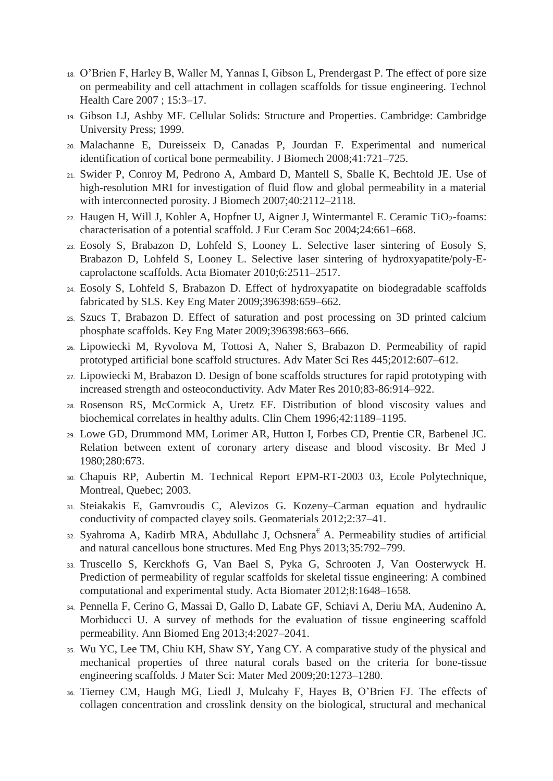- 18. O'Brien F, Harley B, Waller M, Yannas I, Gibson L, Prendergast P. The effect of pore size on permeability and cell attachment in collagen scaffolds for tissue engineering. Technol Health Care 2007 ; 15:3–17.
- 19. Gibson LJ, Ashby MF. Cellular Solids: Structure and Properties. Cambridge: Cambridge University Press; 1999.
- 20. Malachanne E, Dureisseix D, Canadas P, Jourdan F. Experimental and numerical identification of cortical bone permeability. J Biomech 2008;41:721–725.
- 21. Swider P, Conroy M, Pedrono A, Ambard D, Mantell S, Sballe K, Bechtold JE. Use of high-resolution MRI for investigation of fluid flow and global permeability in a material with interconnected porosity. J Biomech 2007;40:2112–2118.
- $22.$  Haugen H, Will J, Kohler A, Hopfner U, Aigner J, Wintermantel E. Ceramic TiO<sub>2</sub>-foams: characterisation of a potential scaffold. J Eur Ceram Soc 2004;24:661–668.
- 23. Eosoly S, Brabazon D, Lohfeld S, Looney L. Selective laser sintering of Eosoly S, Brabazon D, Lohfeld S, Looney L. Selective laser sintering of hydroxyapatite/poly-Ecaprolactone scaffolds. Acta Biomater 2010;6:2511–2517.
- 24. Eosoly S, Lohfeld S, Brabazon D. Effect of hydroxyapatite on biodegradable scaffolds fabricated by SLS. Key Eng Mater 2009;396398:659–662.
- 25. Szucs T, Brabazon D. Effect of saturation and post processing on 3D printed calcium phosphate scaffolds. Key Eng Mater 2009;396398:663–666.
- 26. Lipowiecki M, Ryvolova M, Tottosi A, Naher S, Brabazon D. Permeability of rapid prototyped artificial bone scaffold structures. Adv Mater Sci Res 445;2012:607–612.
- 27. Lipowiecki M, Brabazon D. Design of bone scaffolds structures for rapid prototyping with increased strength and osteoconductivity. Adv Mater Res 2010;83-86:914–922.
- 28. Rosenson RS, McCormick A, Uretz EF. Distribution of blood viscosity values and biochemical correlates in healthy adults. Clin Chem 1996;42:1189–1195.
- 29. Lowe GD, Drummond MM, Lorimer AR, Hutton I, Forbes CD, Prentie CR, Barbenel JC. Relation between extent of coronary artery disease and blood viscosity. Br Med J 1980;280:673.
- 30. Chapuis RP, Aubertin M. Technical Report EPM-RT-2003 03, Ecole Polytechnique, Montreal, Quebec; 2003.
- 31. Steiakakis E, Gamvroudis C, Alevizos G. Kozeny–Carman equation and hydraulic conductivity of compacted clayey soils. Geomaterials 2012;2:37–41.
- 32. Syahroma A, Kadirb MRA, Abdullahc J, Ochsnera A, Permeability studies of artificial and natural cancellous bone structures. Med Eng Phys 2013;35:792–799.
- 33. Truscello S, Kerckhofs G, Van Bael S, Pyka G, Schrooten J, Van Oosterwyck H. Prediction of permeability of regular scaffolds for skeletal tissue engineering: A combined computational and experimental study. Acta Biomater 2012;8:1648–1658.
- 34. Pennella F, Cerino G, Massai D, Gallo D, Labate GF, Schiavi A, Deriu MA, Audenino A, Morbiducci U. A survey of methods for the evaluation of tissue engineering scaffold permeability. Ann Biomed Eng 2013;4:2027–2041.
- 35. Wu YC, Lee TM, Chiu KH, Shaw SY, Yang CY. A comparative study of the physical and mechanical properties of three natural corals based on the criteria for bone-tissue engineering scaffolds. J Mater Sci: Mater Med 2009;20:1273–1280.
- 36. Tierney CM, Haugh MG, Liedl J, Mulcahy F, Hayes B, O'Brien FJ. The effects of collagen concentration and crosslink density on the biological, structural and mechanical